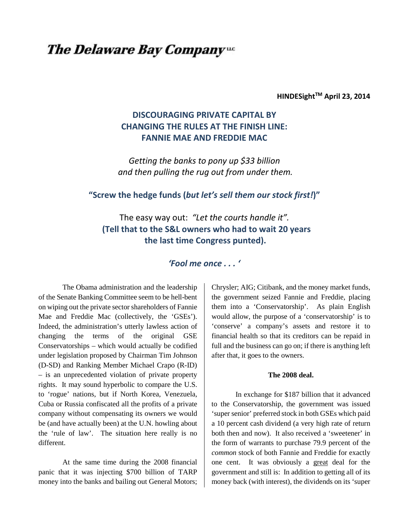# **The Delaware Bay Companyue**

**HINDESightTM April 23, 2014**

# **DISCOURAGING PRIVATE CAPITAL BY CHANGING THE RULES AT THE FINISH LINE: FANNIE MAE AND FREDDIE MAC**

*Getting the banks to pony up \$33 billion and then pulling the rug out from under them.*

# **"Screw the hedge funds (***but let's sell them our stock first!***)"**

The easy way out: *"Let the courts handle it".* **(Tell that to the S&L owners who had to wait 20 years the last time Congress punted).**

# *'Fool me once . . . '*

The Obama administration and the leadership of the Senate Banking Committee seem to be hell-bent on wiping out the private sector shareholders of Fannie Mae and Freddie Mac (collectively, the 'GSEs'). Indeed, the administration's utterly lawless action of changing the terms of the original GSE Conservatorships – which would actually be codified under legislation proposed by Chairman Tim Johnson (D-SD) and Ranking Member Michael Crapo (R-ID) – is an unprecedented violation of private property rights. It may sound hyperbolic to compare the U.S. to 'rogue' nations, but if North Korea, Venezuela, Cuba or Russia confiscated all the profits of a private company without compensating its owners we would be (and have actually been) at the U.N. howling about the 'rule of law'. The situation here really is no different.

At the same time during the 2008 financial panic that it was injecting \$700 billion of TARP money into the banks and bailing out General Motors; Chrysler; AIG; Citibank, and the money market funds, the government seized Fannie and Freddie, placing them into a 'Conservatorship'. As plain English would allow, the purpose of a 'conservatorship' is to 'conserve' a company's assets and restore it to financial health so that its creditors can be repaid in full and the business can go on; if there is anything left after that, it goes to the owners.

### **The 2008 deal.**

In exchange for \$187 billion that it advanced to the Conservatorship, the government was issued 'super senior' preferred stock in both GSEs which paid a 10 percent cash dividend (a very high rate of return both then and now). It also received a 'sweetener' in the form of warrants to purchase 79.9 percent of the *common* stock of both Fannie and Freddie for exactly one cent. It was obviously a great deal for the government and still is: In addition to getting all of its money back (with interest), the dividends on its 'super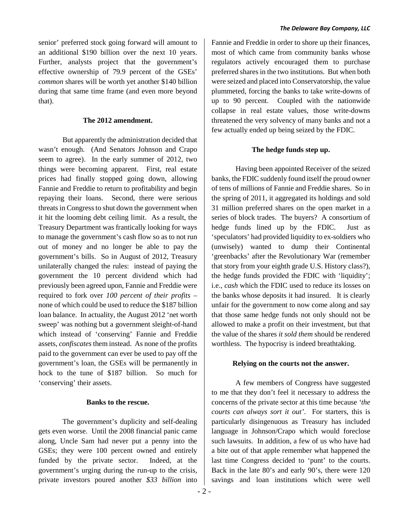senior' preferred stock going forward will amount to an additional \$190 billion over the next 10 years. Further, analysts project that the government's effective ownership of 79.9 percent of the GSEs' *common* shares will be worth yet another \$140 billion during that same time frame (and even more beyond that).

## **The 2012 amendment.**

But apparently the administration decided that wasn't enough. (And Senators Johnson and Crapo seem to agree). In the early summer of 2012, two things were becoming apparent. First, real estate prices had finally stopped going down, allowing Fannie and Freddie to return to profitability and begin repaying their loans. Second, there were serious threats in Congress to shut down the government when it hit the looming debt ceiling limit. As a result, the Treasury Department was frantically looking for ways to manage the government's cash flow so as to not run out of money and no longer be able to pay the government's bills. So in August of 2012, Treasury unilaterally changed the rules: instead of paying the government the 10 percent dividend which had previously been agreed upon, Fannie and Freddie were required to fork over *100 percent of their profits* – none of which could be used to reduce the \$187 billion loan balance. In actuality, the August 2012 'net worth sweep' was nothing but a government sleight-of-hand which instead of 'conserving' Fannie and Freddie assets, *confiscates* them instead. As none of the profits paid to the government can ever be used to pay off the government's loan, the GSEs will be permanently in hock to the tune of \$187 billion. So much for 'conserving' their assets.

#### **Banks to the rescue.**

The government's duplicity and self-dealing gets even worse. Until the 2008 financial panic came along, Uncle Sam had never put a penny into the GSEs; they were 100 percent owned and entirely funded by the private sector. Indeed, at the government's urging during the run-up to the crisis, private investors poured another *\$33 billion* into

Fannie and Freddie in order to shore up their finances, most of which came from community banks whose regulators actively encouraged them to purchase preferred shares in the two institutions. But when both were seized and placed into Conservatorship, the value plummeted, forcing the banks to take write-downs of up to 90 percent. Coupled with the nationwide collapse in real estate values, those write-downs threatened the very solvency of many banks and not a few actually ended up being seized by the FDIC.

#### **The hedge funds step up.**

Having been appointed Receiver of the seized banks, the FDIC suddenly found itself the proud owner of tens of millions of Fannie and Freddie shares. So in the spring of 2011, it aggregated its holdings and sold 31 million preferred shares on the open market in a series of block trades. The buyers? A consortium of hedge funds lined up by the FDIC. Just as 'speculators' had provided liquidity to ex-soldiers who (unwisely) wanted to dump their Continental 'greenbacks' after the Revolutionary War (remember that story from your eighth grade U.S. History class?), the hedge funds provided the FDIC with 'liquidity'; i.e., *cash* which the FDIC used to reduce its losses on the banks whose deposits it had insured. It is clearly unfair for the government to now come along and say that those same hedge funds not only should not be allowed to make a profit on their investment, but that the value of the shares *it sold them* should be rendered worthless. The hypocrisy is indeed breathtaking.

#### **Relying on the courts not the answer.**

A few members of Congress have suggested to me that they don't feel it necessary to address the concerns of the private sector at this time because *'the courts can always sort it out'*. For starters, this is particularly disingenuous as Treasury has included language in Johnson/Crapo which would foreclose such lawsuits. In addition, a few of us who have had a bite out of that apple remember what happened the last time Congress decided to 'punt' to the courts. Back in the late 80's and early 90's, there were 120 savings and loan institutions which were well